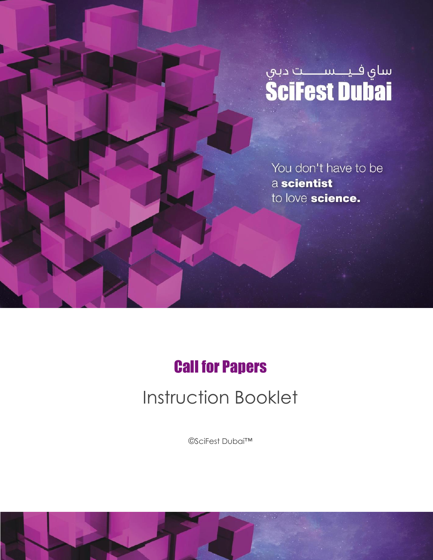

You don't have to be a scientist to love science.

## Call for Papers

# Instruction Booklet

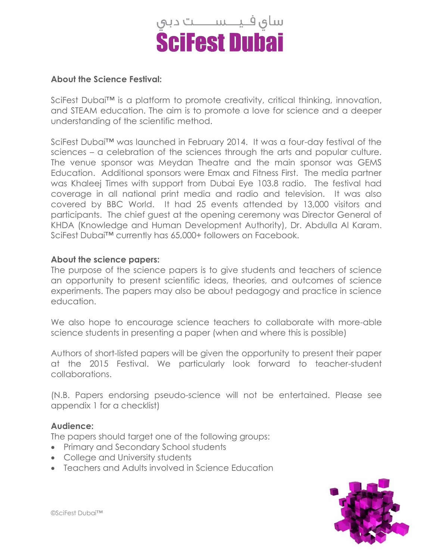

#### **About the Science Festival:**

SciFest Dubai™ is a platform to promote creativity, critical thinking, innovation, and STEAM education. The aim is to promote a love for science and a deeper understanding of the scientific method.

SciFest Dubai<sup>™</sup> was launched in February 2014. It was a four-day festival of the sciences – a celebration of the sciences through the arts and popular culture. The venue sponsor was Meydan Theatre and the main sponsor was GEMS Education. Additional sponsors were Emax and Fitness First. The media partner was Khaleej Times with support from Dubai Eye 103.8 radio. The festival had coverage in all national print media and radio and television. It was also covered by BBC World. It had 25 events attended by 13,000 visitors and participants. The chief guest at the opening ceremony was Director General of KHDA (Knowledge and Human Development Authority), Dr. Abdulla Al Karam. SciFest Dubai™ currently has 65,000+ followers on Facebook.

#### **About the science papers:**

The purpose of the science papers is to give students and teachers of science an opportunity to present scientific ideas, theories, and outcomes of science experiments. The papers may also be about pedagogy and practice in science education.

We also hope to encourage science teachers to collaborate with more-able science students in presenting a paper (when and where this is possible)

Authors of short-listed papers will be given the opportunity to present their paper at the 2015 Festival. We particularly look forward to teacher-student collaborations.

(N.B. Papers endorsing pseudo-science will not be entertained. Please see appendix 1 for a checklist)

#### **Audience:**

The papers should target one of the following groups:

- Primary and Secondary School students
- College and University students
- Teachers and Adults involved in Science Education

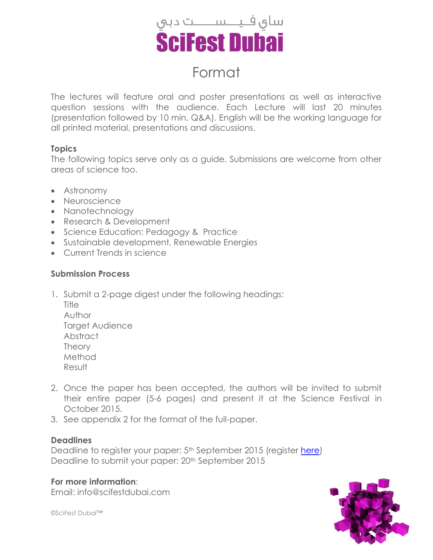

### Format

The lectures will feature oral and poster presentations as well as interactive question sessions with the audience. Each Lecture will last 20 minutes (presentation followed by 10 min. Q&A). English will be the working language for all printed material, presentations and discussions.

#### **Topics**

The following topics serve only as a guide. Submissions are welcome from other areas of science too.

- Astronomy
- Neuroscience
- Nanotechnology
- Research & Development
- Science Education: Pedagogy & Practice
- Sustainable development, Renewable Energies
- Current Trends in science

#### **Submission Process**

1. Submit a 2-page digest under the following headings:

**Title** Author Target Audience Abstract Theory Method Result

- 2. Once the paper has been accepted, the authors will be invited to submit their entire paper (5-6 pages) and present it at the Science Festival in October 2015.
- 3. See appendix 2 for the format of the full-paper.

#### **Deadlines**

Deadline to register your paper: 5<sup>th</sup> September 2015 (register [here\)](https://docs.google.com/forms/d/1PuQqL_eFgUmMrp-AzUH6FTHNNQON5DLcTk-7Ch8_gcU/viewform?usp=send_form) Deadline to submit your paper: 20th September 2015

**For more information**: Email: info@scifestdubai.com

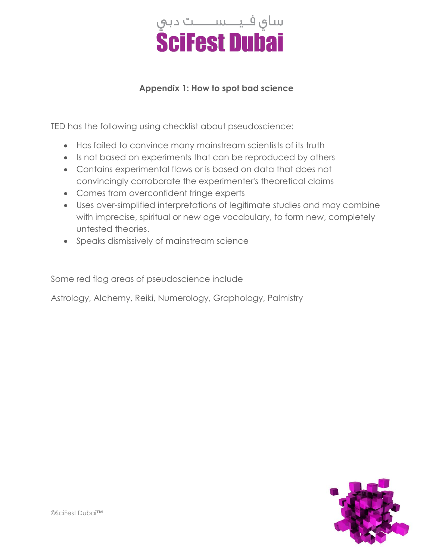

#### **Appendix 1: How to spot bad science**

TED has the following using checklist about pseudoscience:

- Has failed to convince many mainstream scientists of its truth
- Is not based on experiments that can be reproduced by others
- Contains experimental flaws or is based on data that does not convincingly corroborate the experimenter's theoretical claims
- Comes from overconfident fringe experts
- Uses over-simplified interpretations of legitimate studies and may combine with imprecise, spiritual or new age vocabulary, to form new, completely untested theories.
- Speaks dismissively of mainstream science

Some red flag areas of pseudoscience include

Astrology, Alchemy, Reiki, Numerology, Graphology, Palmistry